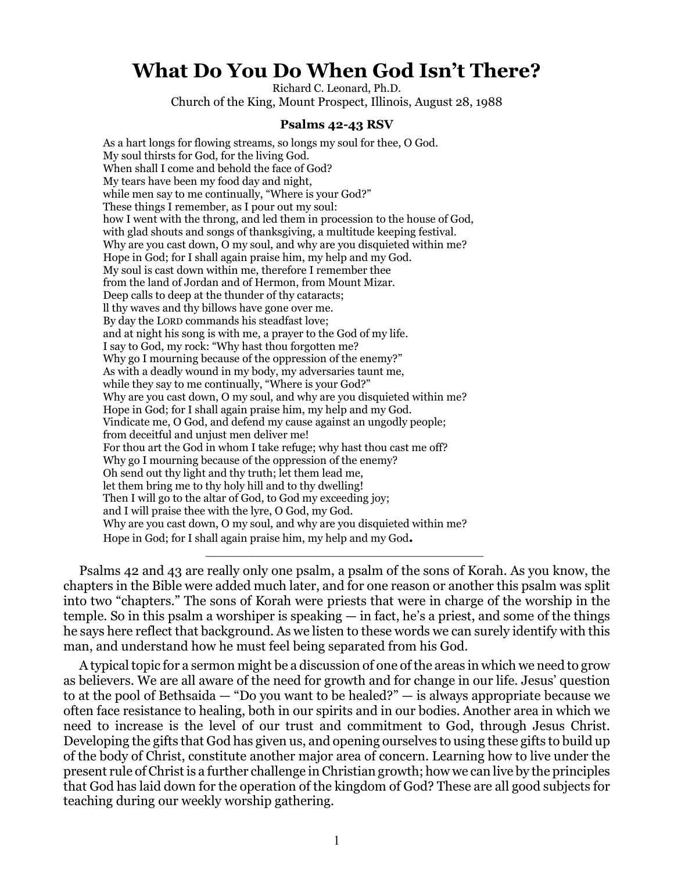## **What Do You Do When God Isn't There?**

Richard C. Leonard, Ph.D.

Church of the King, Mount Prospect, Illinois, August 28, 1988

## **Psalms 42-43 RSV**

As a hart longs for flowing streams, so longs my soul for thee, O God. My soul thirsts for God, for the living God. When shall I come and behold the face of God? My tears have been my food day and night, while men say to me continually, "Where is your God?" These things I remember, as I pour out my soul: how I went with the throng, and led them in procession to the house of God, with glad shouts and songs of thanksgiving, a multitude keeping festival. Why are you cast down, O my soul, and why are you disquieted within me? Hope in God; for I shall again praise him, my help and my God. My soul is cast down within me, therefore I remember thee from the land of Jordan and of Hermon, from Mount Mizar. Deep calls to deep at the thunder of thy cataracts; ll thy waves and thy billows have gone over me. By day the LORD commands his steadfast love; and at night his song is with me, a prayer to the God of my life. I say to God, my rock: "Why hast thou forgotten me? Why go I mourning because of the oppression of the enemy?" As with a deadly wound in my body, my adversaries taunt me, while they say to me continually, "Where is your God?" Why are you cast down, O my soul, and why are you disquieted within me? Hope in God; for I shall again praise him, my help and my God. Vindicate me, O God, and defend my cause against an ungodly people; from deceitful and unjust men deliver me! For thou art the God in whom I take refuge; why hast thou cast me off? Why go I mourning because of the oppression of the enemy? Oh send out thy light and thy truth; let them lead me, let them bring me to thy holy hill and to thy dwelling! Then I will go to the altar of God, to God my exceeding joy; and I will praise thee with the lyre, O God, my God. Why are you cast down, O my soul, and why are you disquieted within me? Hope in God; for I shall again praise him, my help and my God**.**

Psalms 42 and 43 are really only one psalm, a psalm of the sons of Korah. As you know, the chapters in the Bible were added much later, and for one reason or another this psalm was split into two "chapters." The sons of Korah were priests that were in charge of the worship in the temple. So in this psalm a worshiper is speaking — in fact, he's a priest, and some of the things he says here reflect that background. As we listen to these words we can surely identify with this man, and understand how he must feel being separated from his God.

\_\_\_\_\_\_\_\_\_\_\_\_\_\_\_\_\_\_\_\_\_\_\_\_\_\_\_\_\_\_\_\_\_\_\_\_\_\_\_

A typical topic for a sermon might be a discussion of one of the areas in which we need to grow as believers. We are all aware of the need for growth and for change in our life. Jesus' question to at the pool of Bethsaida — "Do you want to be healed?" — is always appropriate because we often face resistance to healing, both in our spirits and in our bodies. Another area in which we need to increase is the level of our trust and commitment to God, through Jesus Christ. Developing the gifts that God has given us, and opening ourselves to using these gifts to build up of the body of Christ, constitute another major area of concern. Learning how to live under the present rule of Christ is a further challenge in Christian growth; how we can live by the principles that God has laid down for the operation of the kingdom of God? These are all good subjects for teaching during our weekly worship gathering.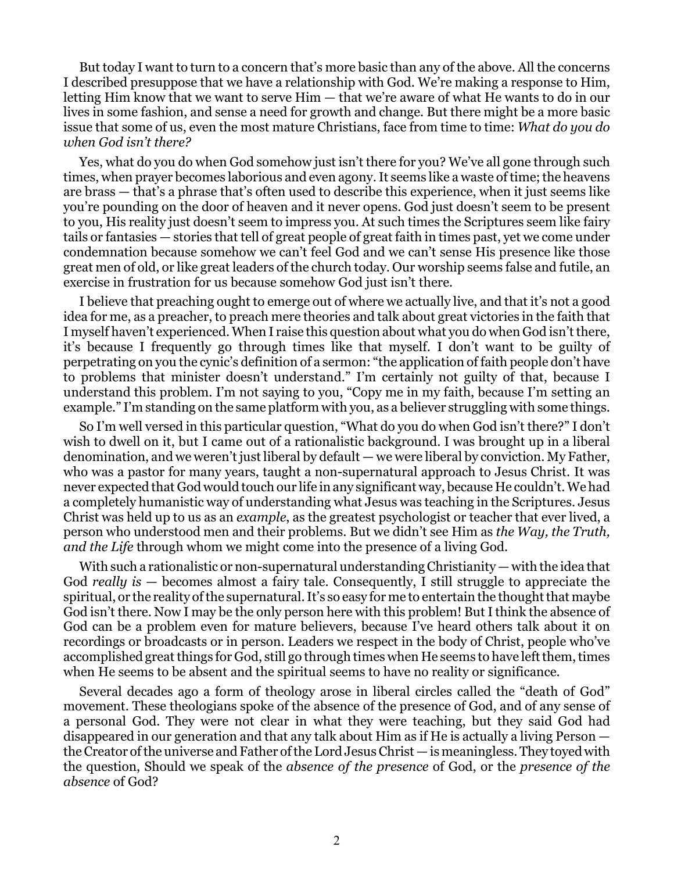But today I want to turn to a concern that's more basic than any of the above. All the concerns I described presuppose that we have a relationship with God. We're making a response to Him, letting Him know that we want to serve Him — that we're aware of what He wants to do in our lives in some fashion, and sense a need for growth and change. But there might be a more basic issue that some of us, even the most mature Christians, face from time to time: *What do you do when God isn't there?*

Yes, what do you do when God somehow just isn't there for you? We've all gone through such times, when prayer becomes laborious and even agony. It seems like a waste of time; the heavens are brass — that's a phrase that's often used to describe this experience, when it just seems like you're pounding on the door of heaven and it never opens. God just doesn't seem to be present to you, His reality just doesn't seem to impress you. At such times the Scriptures seem like fairy tails or fantasies — stories that tell of great people of great faith in times past, yet we come under condemnation because somehow we can't feel God and we can't sense His presence like those great men of old, or like great leaders of the church today. Our worship seems false and futile, an exercise in frustration for us because somehow God just isn't there.

I believe that preaching ought to emerge out of where we actually live, and that it's not a good idea for me, as a preacher, to preach mere theories and talk about great victories in the faith that I myself haven't experienced. When I raise this question about what you do when God isn't there, it's because I frequently go through times like that myself. I don't want to be guilty of perpetrating on you the cynic's definition of a sermon: "the application of faith people don't have to problems that minister doesn't understand." I'm certainly not guilty of that, because I understand this problem. I'm not saying to you, "Copy me in my faith, because I'm setting an example." I'm standing on the same platform with you, as a believer struggling with some things.

So I'm well versed in this particular question, "What do you do when God isn't there?" I don't wish to dwell on it, but I came out of a rationalistic background. I was brought up in a liberal denomination, and we weren't just liberal by default — we were liberal by conviction. My Father, who was a pastor for many years, taught a non-supernatural approach to Jesus Christ. It was never expected that God would touch our life in any significant way, because He couldn't. We had a completely humanistic way of understanding what Jesus was teaching in the Scriptures. Jesus Christ was held up to us as an *example*, as the greatest psychologist or teacher that ever lived, a person who understood men and their problems. But we didn't see Him as *the Way, the Truth, and the Life* through whom we might come into the presence of a living God.

With such a rationalistic or non-supernatural understanding Christianity — with the idea that God *really is* — becomes almost a fairy tale. Consequently, I still struggle to appreciate the spiritual, or the reality of the supernatural. It's so easy for me to entertain the thought that maybe God isn't there. Now I may be the only person here with this problem! But I think the absence of God can be a problem even for mature believers, because I've heard others talk about it on recordings or broadcasts or in person. Leaders we respect in the body of Christ, people who've accomplished great things for God, still go through times when He seems to have left them, times when He seems to be absent and the spiritual seems to have no reality or significance.

Several decades ago a form of theology arose in liberal circles called the "death of God" movement. These theologians spoke of the absence of the presence of God, and of any sense of a personal God. They were not clear in what they were teaching, but they said God had disappeared in our generation and that any talk about Him as if He is actually a living Person the Creator of the universe and Father of the Lord Jesus Christ — is meaningless. They toyed with the question, Should we speak of the *absence of the presence* of God, or the *presence of the absence* of God?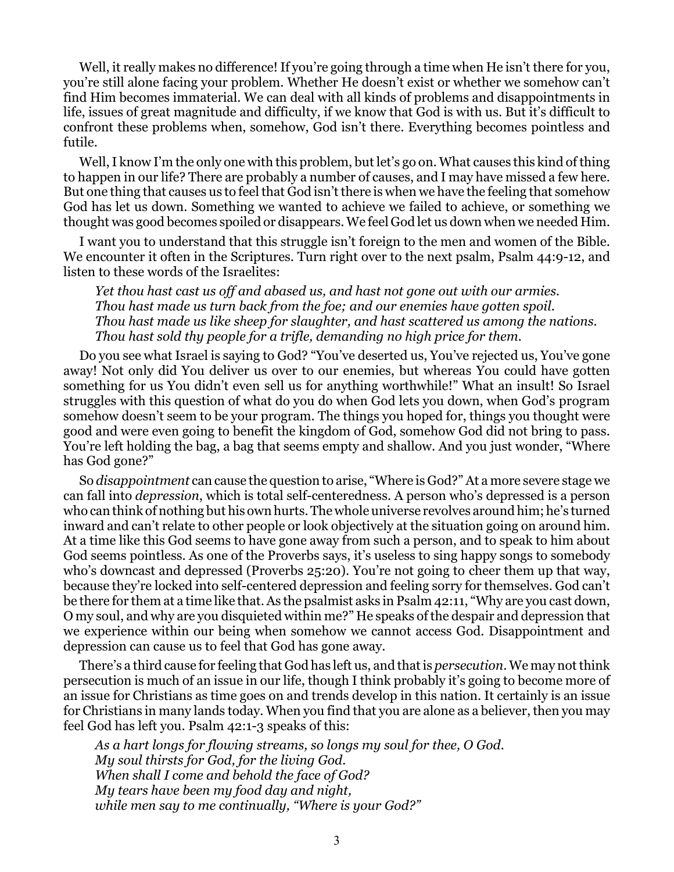Well, it really makes no difference! If you're going through a time when He isn't there for you, you're still alone facing your problem. Whether He doesn't exist or whether we somehow can't find Him becomes immaterial. We can deal with all kinds of problems and disappointments in life, issues of great magnitude and difficulty, if we know that God is with us. But it's difficult to confront these problems when, somehow, God isn't there. Everything becomes pointless and futile.

Well, I know I'm the only one with this problem, but let's go on. What causes this kind of thing to happen in our life? There are probably a number of causes, and I may have missed a few here. But one thing that causes us to feel that God isn't there is when we have the feeling that somehow God has let us down. Something we wanted to achieve we failed to achieve, or something we thought was good becomes spoiled or disappears. We feel God let us down when we needed Him.

I want you to understand that this struggle isn't foreign to the men and women of the Bible. We encounter it often in the Scriptures. Turn right over to the next psalm, Psalm 44:9-12, and listen to these words of the Israelites:

*Yet thou hast cast us off and abased us, and hast not gone out with our armies. Thou hast made us turn back from the foe; and our enemies have gotten spoil. Thou hast made us like sheep for slaughter, and hast scattered us among the nations. Thou hast sold thy people for a trifle, demanding no high price for them.*

Do you see what Israel is saying to God? "You've deserted us, You've rejected us, You've gone away! Not only did You deliver us over to our enemies, but whereas You could have gotten something for us You didn't even sell us for anything worthwhile!" What an insult! So Israel struggles with this question of what do you do when God lets you down, when God's program somehow doesn't seem to be your program. The things you hoped for, things you thought were good and were even going to benefit the kingdom of God, somehow God did not bring to pass. You're left holding the bag, a bag that seems empty and shallow. And you just wonder, "Where has God gone?"

So *disappointment* can cause the question to arise, "Where is God?" At a more severe stage we can fall into *depression*, which is total self-centeredness. A person who's depressed is a person who can think of nothing but his own hurts. The whole universe revolves around him; he's turned inward and can't relate to other people or look objectively at the situation going on around him. At a time like this God seems to have gone away from such a person, and to speak to him about God seems pointless. As one of the Proverbs says, it's useless to sing happy songs to somebody who's downcast and depressed (Proverbs 25:20). You're not going to cheer them up that way, because they're locked into self-centered depression and feeling sorry for themselves. God can't be there for them at a time like that. As the psalmist asks in Psalm 42:11, "Why are you cast down, O my soul, and why are you disquieted within me?" He speaks of the despair and depression that we experience within our being when somehow we cannot access God. Disappointment and depression can cause us to feel that God has gone away.

There's a third cause for feeling that God has left us, and that is *persecution*. We may not think persecution is much of an issue in our life, though I think probably it's going to become more of an issue for Christians as time goes on and trends develop in this nation. It certainly is an issue for Christians in many lands today. When you find that you are alone as a believer, then you may feel God has left you. Psalm 42:1-3 speaks of this:

*As a hart longs for flowing streams, so longs my soul for thee, O God. My soul thirsts for God, for the living God. When shall I come and behold the face of God? My tears have been my food day and night, while men say to me continually, "Where is your God?"*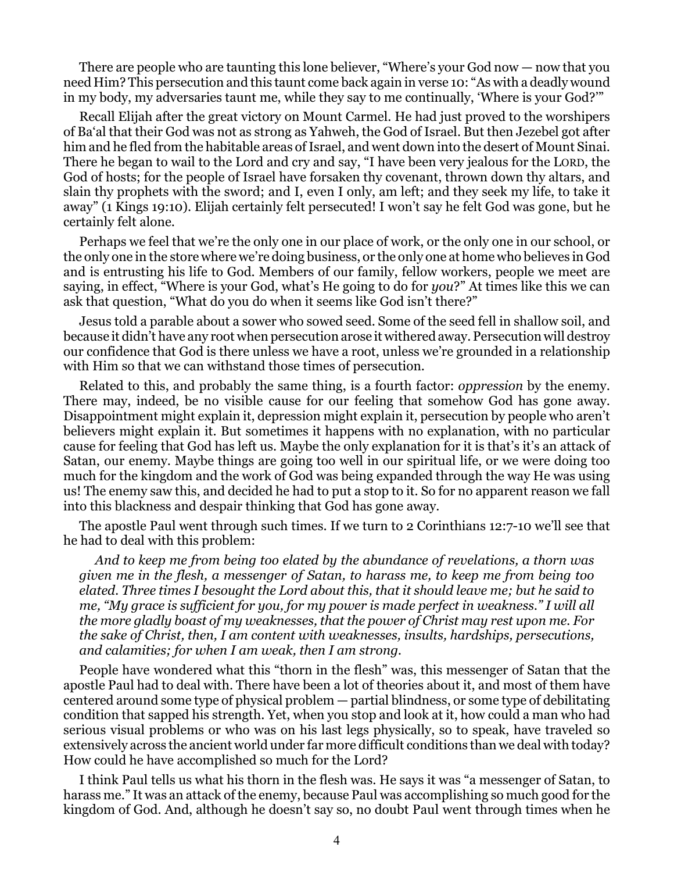There are people who are taunting this lone believer, "Where's your God now — now that you need Him? This persecution and this taunt come back again in verse 10: "As with a deadly wound in my body, my adversaries taunt me, while they say to me continually, 'Where is your God?'"

Recall Elijah after the great victory on Mount Carmel. He had just proved to the worshipers of Ba'al that their God was not as strong as Yahweh, the God of Israel. But then Jezebel got after him and he fled from the habitable areas of Israel, and went down into the desert of Mount Sinai. There he began to wail to the Lord and cry and say, "I have been very jealous for the LORD, the God of hosts; for the people of Israel have forsaken thy covenant, thrown down thy altars, and slain thy prophets with the sword; and I, even I only, am left; and they seek my life, to take it away" (1 Kings 19:10). Elijah certainly felt persecuted! I won't say he felt God was gone, but he certainly felt alone.

Perhaps we feel that we're the only one in our place of work, or the only one in our school, or the only one in the store where we're doing business, or the only one at home who believes in God and is entrusting his life to God. Members of our family, fellow workers, people we meet are saying, in effect, "Where is your God, what's He going to do for *you*?" At times like this we can ask that question, "What do you do when it seems like God isn't there?"

Jesus told a parable about a sower who sowed seed. Some of the seed fell in shallow soil, and because it didn't have any root when persecution arose it withered away. Persecution will destroy our confidence that God is there unless we have a root, unless we're grounded in a relationship with Him so that we can withstand those times of persecution.

Related to this, and probably the same thing, is a fourth factor: *oppression* by the enemy. There may, indeed, be no visible cause for our feeling that somehow God has gone away. Disappointment might explain it, depression might explain it, persecution by people who aren't believers might explain it. But sometimes it happens with no explanation, with no particular cause for feeling that God has left us. Maybe the only explanation for it is that's it's an attack of Satan, our enemy. Maybe things are going too well in our spiritual life, or we were doing too much for the kingdom and the work of God was being expanded through the way He was using us! The enemy saw this, and decided he had to put a stop to it. So for no apparent reason we fall into this blackness and despair thinking that God has gone away.

The apostle Paul went through such times. If we turn to 2 Corinthians 12:7-10 we'll see that he had to deal with this problem:

*And to keep me from being too elated by the abundance of revelations, a thorn was given me in the flesh, a messenger of Satan, to harass me, to keep me from being too elated. Three times I besought the Lord about this, that it should leave me; but he said to me, "My grace is sufficient for you, for my power is made perfect in weakness." I will all the more gladly boast of my weaknesses, that the power of Christ may rest upon me. For the sake of Christ, then, I am content with weaknesses, insults, hardships, persecutions, and calamities; for when I am weak, then I am strong.*

People have wondered what this "thorn in the flesh" was, this messenger of Satan that the apostle Paul had to deal with. There have been a lot of theories about it, and most of them have centered around some type of physical problem — partial blindness, or some type of debilitating condition that sapped his strength. Yet, when you stop and look at it, how could a man who had serious visual problems or who was on his last legs physically, so to speak, have traveled so extensively across the ancient world under far more difficult conditions than we deal with today? How could he have accomplished so much for the Lord?

I think Paul tells us what his thorn in the flesh was. He says it was "a messenger of Satan, to harass me." It was an attack of the enemy, because Paul was accomplishing so much good for the kingdom of God. And, although he doesn't say so, no doubt Paul went through times when he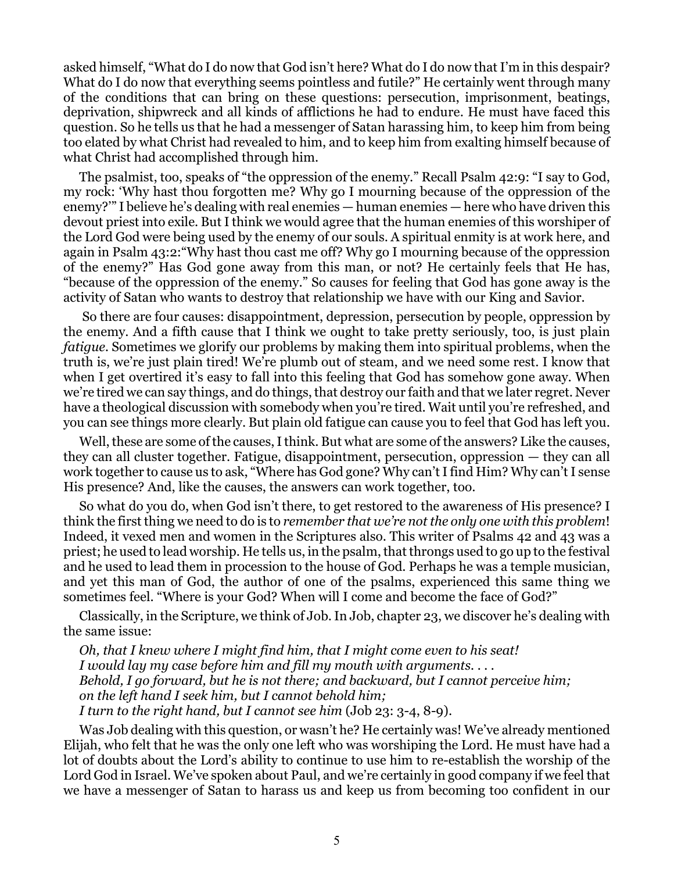asked himself, "What do I do now that God isn't here? What do I do now that I'm in this despair? What do I do now that everything seems pointless and futile?" He certainly went through many of the conditions that can bring on these questions: persecution, imprisonment, beatings, deprivation, shipwreck and all kinds of afflictions he had to endure. He must have faced this question. So he tells us that he had a messenger of Satan harassing him, to keep him from being too elated by what Christ had revealed to him, and to keep him from exalting himself because of what Christ had accomplished through him.

The psalmist, too, speaks of "the oppression of the enemy." Recall Psalm 42:9: "I say to God, my rock: 'Why hast thou forgotten me? Why go I mourning because of the oppression of the enemy?'" I believe he's dealing with real enemies — human enemies — here who have driven this devout priest into exile. But I think we would agree that the human enemies of this worshiper of the Lord God were being used by the enemy of our souls. A spiritual enmity is at work here, and again in Psalm 43:2:"Why hast thou cast me off? Why go I mourning because of the oppression of the enemy?" Has God gone away from this man, or not? He certainly feels that He has, "because of the oppression of the enemy." So causes for feeling that God has gone away is the activity of Satan who wants to destroy that relationship we have with our King and Savior.

 So there are four causes: disappointment, depression, persecution by people, oppression by the enemy. And a fifth cause that I think we ought to take pretty seriously, too, is just plain *fatigue.* Sometimes we glorify our problems by making them into spiritual problems, when the truth is, we're just plain tired! We're plumb out of steam, and we need some rest. I know that when I get overtired it's easy to fall into this feeling that God has somehow gone away. When we're tired we can say things, and do things, that destroy our faith and that we later regret. Never have a theological discussion with somebody when you're tired. Wait until you're refreshed, and you can see things more clearly. But plain old fatigue can cause you to feel that God has left you.

Well, these are some of the causes, I think. But what are some of the answers? Like the causes, they can all cluster together. Fatigue, disappointment, persecution, oppression — they can all work together to cause us to ask, "Where has God gone? Why can't I find Him? Why can't I sense His presence? And, like the causes, the answers can work together, too.

So what do you do, when God isn't there, to get restored to the awareness of His presence? I think the first thing we need to do is to *remember that we're not the only one with this problem*! Indeed, it vexed men and women in the Scriptures also. This writer of Psalms 42 and 43 was a priest; he used to lead worship. He tells us, in the psalm, that throngs used to go up to the festival and he used to lead them in procession to the house of God. Perhaps he was a temple musician, and yet this man of God, the author of one of the psalms, experienced this same thing we sometimes feel. "Where is your God? When will I come and become the face of God?"

Classically, in the Scripture, we think of Job. In Job, chapter 23, we discover he's dealing with the same issue:

*Oh, that I knew where I might find him, that I might come even to his seat! I would lay my case before him and fill my mouth with arguments. . . . Behold, I go forward, but he is not there; and backward, but I cannot perceive him; on the left hand I seek him, but I cannot behold him; I turn to the right hand, but I cannot see him* (Job 23: 3-4, 8-9).

Was Job dealing with this question, or wasn't he? He certainly was! We've already mentioned Elijah, who felt that he was the only one left who was worshiping the Lord. He must have had a lot of doubts about the Lord's ability to continue to use him to re-establish the worship of the Lord God in Israel. We've spoken about Paul, and we're certainly in good company if we feel that we have a messenger of Satan to harass us and keep us from becoming too confident in our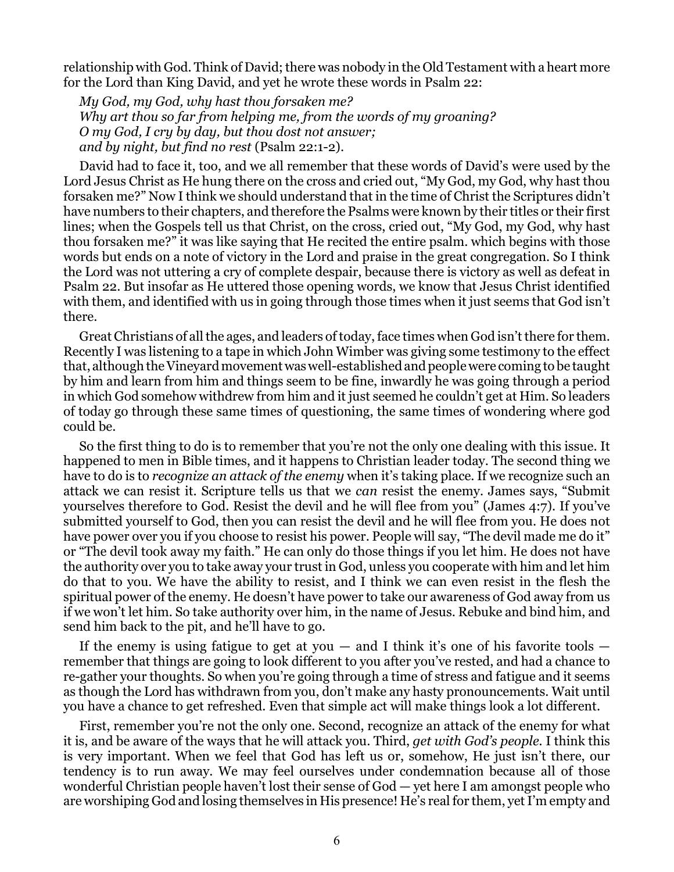relationship with God. Think of David; there was nobody in the Old Testament with a heart more for the Lord than King David, and yet he wrote these words in Psalm 22:

*My God, my God, why hast thou forsaken me? Why art thou so far from helping me, from the words of my groaning? O my God, I cry by day, but thou dost not answer; and by night, but find no rest* (Psalm 22:1-2).

David had to face it, too, and we all remember that these words of David's were used by the Lord Jesus Christ as He hung there on the cross and cried out, "My God, my God, why hast thou forsaken me?" Now I think we should understand that in the time of Christ the Scriptures didn't have numbers to their chapters, and therefore the Psalms were known by their titles or their first lines; when the Gospels tell us that Christ, on the cross, cried out, "My God, my God, why hast thou forsaken me?" it was like saying that He recited the entire psalm. which begins with those words but ends on a note of victory in the Lord and praise in the great congregation. So I think the Lord was not uttering a cry of complete despair, because there is victory as well as defeat in Psalm 22. But insofar as He uttered those opening words, we know that Jesus Christ identified with them, and identified with us in going through those times when it just seems that God isn't there.

Great Christians of all the ages, and leaders of today, face times when God isn't there for them. Recently I was listening to a tape in which John Wimber was giving some testimony to the effect that, although the Vineyard movement was well-established and people were coming to be taught by him and learn from him and things seem to be fine, inwardly he was going through a period in which God somehow withdrew from him and it just seemed he couldn't get at Him. So leaders of today go through these same times of questioning, the same times of wondering where god could be.

So the first thing to do is to remember that you're not the only one dealing with this issue. It happened to men in Bible times, and it happens to Christian leader today. The second thing we have to do is to *recognize an attack of the enemy* when it's taking place. If we recognize such an attack we can resist it. Scripture tells us that we *can* resist the enemy. James says, "Submit yourselves therefore to God. Resist the devil and he will flee from you" (James 4:7). If you've submitted yourself to God, then you can resist the devil and he will flee from you. He does not have power over you if you choose to resist his power. People will say, "The devil made me do it" or "The devil took away my faith." He can only do those things if you let him. He does not have the authority over you to take away your trust in God, unless you cooperate with him and let him do that to you. We have the ability to resist, and I think we can even resist in the flesh the spiritual power of the enemy. He doesn't have power to take our awareness of God away from us if we won't let him. So take authority over him, in the name of Jesus. Rebuke and bind him, and send him back to the pit, and he'll have to go.

If the enemy is using fatigue to get at you  $-$  and I think it's one of his favorite tools  $$ remember that things are going to look different to you after you've rested, and had a chance to re-gather your thoughts. So when you're going through a time of stress and fatigue and it seems as though the Lord has withdrawn from you, don't make any hasty pronouncements. Wait until you have a chance to get refreshed. Even that simple act will make things look a lot different.

First, remember you're not the only one. Second, recognize an attack of the enemy for what it is, and be aware of the ways that he will attack you. Third, *get with God's people.* I think this is very important. When we feel that God has left us or, somehow, He just isn't there, our tendency is to run away. We may feel ourselves under condemnation because all of those wonderful Christian people haven't lost their sense of God — yet here I am amongst people who are worshiping God and losing themselves in His presence! He's real for them, yet I'm empty and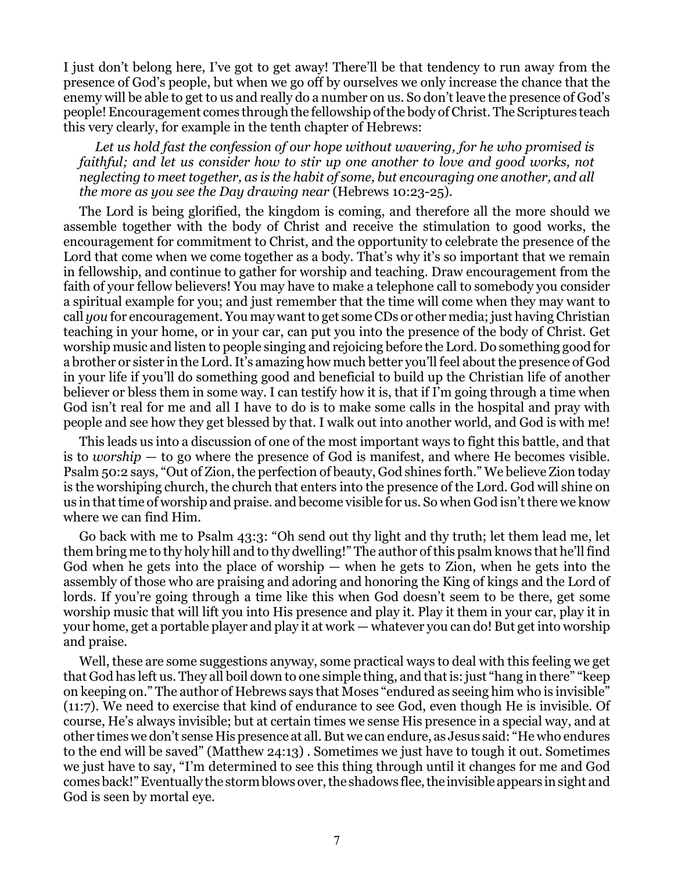I just don't belong here, I've got to get away! There'll be that tendency to run away from the presence of God's people, but when we go off by ourselves we only increase the chance that the enemy will be able to get to us and really do a number on us. So don't leave the presence of God's people! Encouragement comes through the fellowship of the body of Christ. The Scriptures teach this very clearly, for example in the tenth chapter of Hebrews:

*Let us hold fast the confession of our hope without wavering, for he who promised is faithful; and let us consider how to stir up one another to love and good works, not neglecting to meet together, as is the habit of some, but encouraging one another, and all the more as you see the Day drawing near* (Hebrews 10:23-25).

The Lord is being glorified, the kingdom is coming, and therefore all the more should we assemble together with the body of Christ and receive the stimulation to good works, the encouragement for commitment to Christ, and the opportunity to celebrate the presence of the Lord that come when we come together as a body. That's why it's so important that we remain in fellowship, and continue to gather for worship and teaching. Draw encouragement from the faith of your fellow believers! You may have to make a telephone call to somebody you consider a spiritual example for you; and just remember that the time will come when they may want to call *you* for encouragement. You may want to get some CDs or other media; just having Christian teaching in your home, or in your car, can put you into the presence of the body of Christ. Get worship music and listen to people singing and rejoicing before the Lord. Do something good for a brother or sister in the Lord. It's amazing how much better you'll feel about the presence of God in your life if you'll do something good and beneficial to build up the Christian life of another believer or bless them in some way. I can testify how it is, that if I'm going through a time when God isn't real for me and all I have to do is to make some calls in the hospital and pray with people and see how they get blessed by that. I walk out into another world, and God is with me!

This leads us into a discussion of one of the most important ways to fight this battle, and that is to *worship* — to go where the presence of God is manifest, and where He becomes visible. Psalm 50:2 says, "Out of Zion, the perfection of beauty, God shines forth." We believe Zion today is the worshiping church, the church that enters into the presence of the Lord. God will shine on us in that time of worship and praise. and become visible for us. So when God isn't there we know where we can find Him.

Go back with me to Psalm 43:3: "Oh send out thy light and thy truth; let them lead me, let them bring me to thy holy hill and to thy dwelling!" The author of this psalm knows that he'll find God when he gets into the place of worship — when he gets to Zion, when he gets into the assembly of those who are praising and adoring and honoring the King of kings and the Lord of lords. If you're going through a time like this when God doesn't seem to be there, get some worship music that will lift you into His presence and play it. Play it them in your car, play it in your home, get a portable player and play it at work — whatever you can do! But get into worship and praise.

Well, these are some suggestions anyway, some practical ways to deal with this feeling we get that God has left us. They all boil down to one simple thing, and that is: just "hang in there" "keep on keeping on." The author of Hebrews says that Moses "endured as seeing him who is invisible" (11:7). We need to exercise that kind of endurance to see God, even though He is invisible. Of course, He's always invisible; but at certain times we sense His presence in a special way, and at other times we don't sense His presence at all. But we can endure, as Jesus said: "He who endures to the end will be saved" (Matthew 24:13) . Sometimes we just have to tough it out. Sometimes we just have to say, "I'm determined to see this thing through until it changes for me and God comes back!" Eventually the storm blows over, the shadows flee, the invisible appears in sight and God is seen by mortal eye.